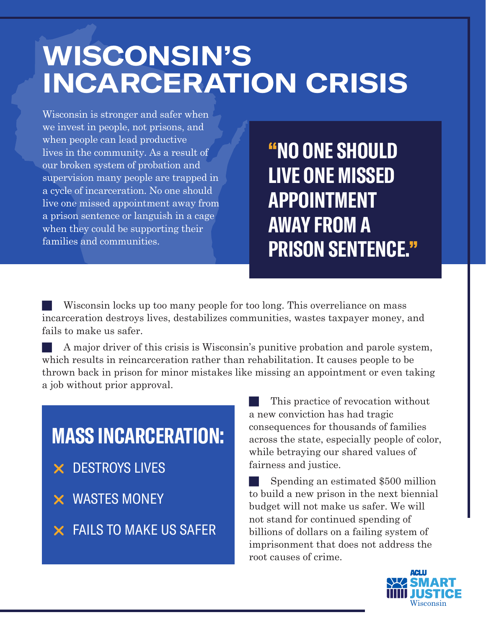## **WISCONSIN'S INCARCERATION CRISIS**

Wisconsin is stronger and safer when we invest in people, not prisons, and when people can lead productive lives in the community. As a result of our broken system of probation and supervision many people are trapped in a cycle of incarceration. No one should live one missed appointment away from a prison sentence or languish in a cage when they could be supporting their families and communities.

**"NO ONE SHOULD LIVE ONE MISSED APPOINTMENT AWAY FROM A PRISON SENTENCE."**

Wisconsin locks up too many people for too long. This overreliance on mass incarceration destroys lives, destabilizes communities, wastes taxpayer money, and fails to make us safer.

A major driver of this crisis is Wisconsin's punitive probation and parole system, which results in reincarceration rather than rehabilitation. It causes people to be thrown back in prison for minor mistakes like missing an appointment or even taking a job without prior approval.

# **MASS INCARCERATION:**

- $\times$  DESTROYS LIVES
- $\times$  WASTES MONEY

 $\times$  FAILS TO MAKE US SAFER

This practice of revocation without a new conviction has had tragic consequences for thousands of families across the state, especially people of color, while betraying our shared values of fairness and justice.

Spending an estimated \$500 million to build a new prison in the next biennial budget will not make us safer. We will not stand for continued spending of billions of dollars on a failing system of imprisonment that does not address the root causes of crime.